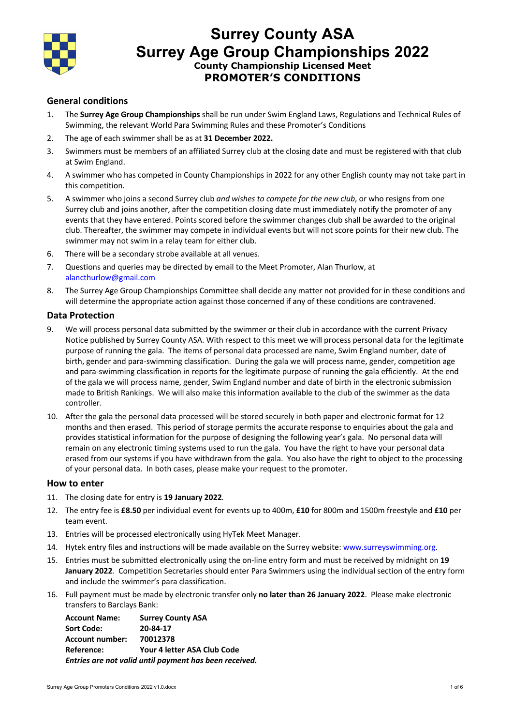

## **Surrey County ASA Surrey Age Group Championships 2022 County Championship Licensed Meet PROMOTER'S CONDITIONS**

### **General conditions**

- 1. The **Surrey Age Group Championships** shall be run under Swim England Laws, Regulations and Technical Rules of Swimming, the relevant World Para Swimming Rules and these Promoter's Conditions
- 2. The age of each swimmer shall be as at **31 December 2022.**
- 3. Swimmers must be members of an affiliated Surrey club at the closing date and must be registered with that club at Swim England.
- 4. A swimmer who has competed in County Championships in 2022 for any other English county may not take part in this competition.
- 5. A swimmer who joins a second Surrey club *and wishes to compete for the new club*, or who resigns from one Surrey club and joins another, after the competition closing date must immediately notify the promoter of any events that they have entered. Points scored before the swimmer changes club shall be awarded to the original club. Thereafter, the swimmer may compete in individual events but will not score points for their new club. The swimmer may not swim in a relay team for either club.
- 6. There will be a secondary strobe available at all venues.
- 7. Questions and queries may be directed by email to the Meet Promoter, Alan Thurlow, at alancthurlow@gmail.com
- 8. The Surrey Age Group Championships Committee shall decide any matter not provided for in these conditions and will determine the appropriate action against those concerned if any of these conditions are contravened.

### **Data Protection**

- 9. We will process personal data submitted by the swimmer or their club in accordance with the current Privacy Notice published by Surrey County ASA. With respect to this meet we will process personal data for the legitimate purpose of running the gala. The items of personal data processed are name, Swim England number, date of birth, gender and para-swimming classification. During the gala we will process name, gender, competition age and para-swimming classification in reports for the legitimate purpose of running the gala efficiently. At the end of the gala we will process name, gender, Swim England number and date of birth in the electronic submission made to British Rankings. We will also make this information available to the club of the swimmer as the data controller.
- 10. After the gala the personal data processed will be stored securely in both paper and electronic format for 12 months and then erased. This period of storage permits the accurate response to enquiries about the gala and provides statistical information for the purpose of designing the following year's gala. No personal data will remain on any electronic timing systems used to run the gala. You have the right to have your personal data erased from our systems if you have withdrawn from the gala. You also have the right to object to the processing of your personal data. In both cases, please make your request to the promoter.

#### **How to enter**

- 11. The closing date for entry is **19 January 2022***.*
- 12. The entry fee is **£8.50** per individual event for events up to 400m, **£10** for 800m and 1500m freestyle and **£10** per team event.
- 13. Entries will be processed electronically using HyTek Meet Manager.
- 14. Hytek entry files and instructions will be made available on the Surrey website: www.surreyswimming.org.
- 15. Entries must be submitted electronically using the on-line entry form and must be received by midnight on **19 January 2022***.* Competition Secretaries should enter Para Swimmers using the individual section of the entry form and include the swimmer's para classification.
- 16. Full payment must be made by electronic transfer only **no later than 26 January 2022**. Please make electronic transfers to Barclays Bank:

**Account Name: Surrey County ASA Sort Code: 20-84-17 Account number: 70012378 Reference: Your 4 letter ASA Club Code** *Entries are not valid until payment has been received.*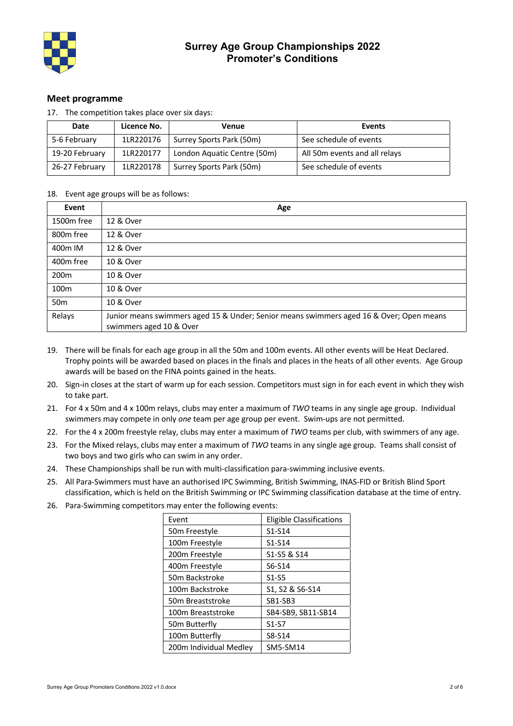

### **Meet programme**

| Date           | Licence No. | Venue                       | Events                        |
|----------------|-------------|-----------------------------|-------------------------------|
| 5-6 February   | 1LR220176   | Surrey Sports Park (50m)    | See schedule of events        |
| 19-20 February | 1LR220177   | London Aquatic Centre (50m) | All 50m events and all relays |
| 26-27 February | 1LR220178   | Surrey Sports Park (50m)    | See schedule of events        |

17. The competition takes place over six days:

### 18. Event age groups will be as follows:

| Event                 | Age                                                                                                                |
|-----------------------|--------------------------------------------------------------------------------------------------------------------|
| 1500m free            | 12 & Over                                                                                                          |
| 800 <sub>m</sub> free | 12 & Over                                                                                                          |
| 400m IM               | 12 & Over                                                                                                          |
| 400 <sub>m</sub> free | 10 & Over                                                                                                          |
| 200 <sub>m</sub>      | 10 & Over                                                                                                          |
| 100 <sub>m</sub>      | 10 & Over                                                                                                          |
| 50 <sub>m</sub>       | 10 & Over                                                                                                          |
| Relays                | Junior means swimmers aged 15 & Under; Senior means swimmers aged 16 & Over; Open means<br>swimmers aged 10 & Over |

- 19. There will be finals for each age group in all the 50m and 100m events. All other events will be Heat Declared. Trophy points will be awarded based on places in the finals and places in the heats of all other events. Age Group awards will be based on the FINA points gained in the heats.
- 20. Sign-in closes at the start of warm up for each session. Competitors must sign in for each event in which they wish to take part.
- 21. For 4 x 50m and 4 x 100m relays, clubs may enter a maximum of *TWO* teams in any single age group. Individual swimmers may compete in only *one* team per age group per event. Swim-ups are not permitted.
- 22. For the 4 x 200m freestyle relay, clubs may enter a maximum of *TWO* teams per club, with swimmers of any age.
- 23. For the Mixed relays, clubs may enter a maximum of *TWO* teams in any single age group. Teams shall consist of two boys and two girls who can swim in any order.
- 24. These Championships shall be run with multi-classification para-swimming inclusive events.
- 25. All Para-Swimmers must have an authorised IPC Swimming, British Swimming, INAS-FID or British Blind Sport classification, which is held on the British Swimming or IPC Swimming classification database at the time of entry.
- 26. Para-Swimming competitors may enter the following events:

| Event                     | Eligible Classifications |
|---------------------------|--------------------------|
| 50m Freestyle             | $S1-S14$                 |
| 100m Freestyle            | $S1-S14$                 |
| 200m Freestyle            | S1-S5 & S14              |
| 400m Freestyle            | S6-S14                   |
| 50m Backstroke            | $S1-S5$                  |
| 100m Backstroke           | S1, S2 & S6-S14          |
| 50m Breaststroke          | SB1-SB3                  |
| 100m Breaststroke         | SB4-SB9, SB11-SB14       |
| 50 <sub>m</sub> Butterfly | $S1-S7$                  |
| 100m Butterfly            | S8-S14                   |
| 200m Individual Medley    | <b>SM5-SM14</b>          |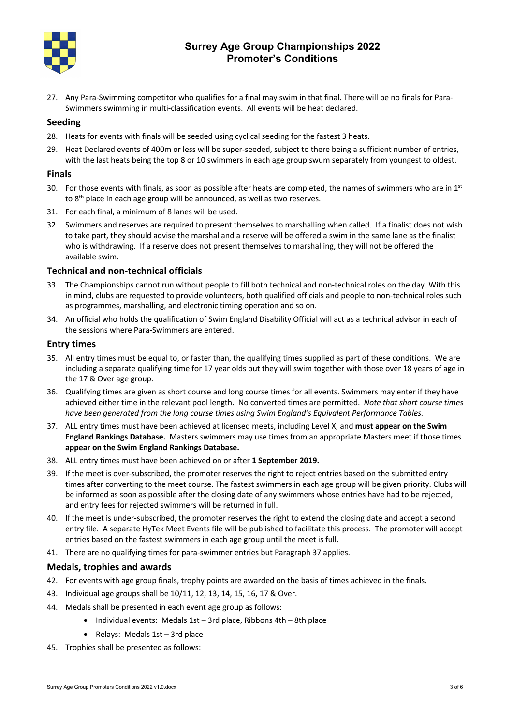

### **Surrey Age Group Championships 2022 Promoter's Conditions**

27. Any Para-Swimming competitor who qualifies for a final may swim in that final. There will be no finals for Para-Swimmers swimming in multi-classification events. All events will be heat declared.

### **Seeding**

- 28. Heats for events with finals will be seeded using cyclical seeding for the fastest 3 heats.
- 29. Heat Declared events of 400m or less will be super-seeded, subject to there being a sufficient number of entries, with the last heats being the top 8 or 10 swimmers in each age group swum separately from youngest to oldest.

#### **Finals**

- 30. For those events with finals, as soon as possible after heats are completed, the names of swimmers who are in  $1^{st}$ to 8<sup>th</sup> place in each age group will be announced, as well as two reserves.
- 31. For each final, a minimum of 8 lanes will be used.
- 32. Swimmers and reserves are required to present themselves to marshalling when called. If a finalist does not wish to take part, they should advise the marshal and a reserve will be offered a swim in the same lane as the finalist who is withdrawing. If a reserve does not present themselves to marshalling, they will not be offered the available swim.

#### **Technical and non-technical officials**

- 33. The Championships cannot run without people to fill both technical and non-technical roles on the day. With this in mind, clubs are requested to provide volunteers, both qualified officials and people to non-technical roles such as programmes, marshalling, and electronic timing operation and so on.
- 34. An official who holds the qualification of Swim England Disability Official will act as a technical advisor in each of the sessions where Para-Swimmers are entered.

#### **Entry times**

- 35. All entry times must be equal to, or faster than, the qualifying times supplied as part of these conditions. We are including a separate qualifying time for 17 year olds but they will swim together with those over 18 years of age in the 17 & Over age group.
- 36. Qualifying times are given as short course and long course times for all events. Swimmers may enter if they have achieved either time in the relevant pool length. No converted times are permitted. *Note that short course times have been generated from the long course times using Swim England's Equivalent Performance Tables.*
- 37. ALL entry times must have been achieved at licensed meets, including Level X, and **must appear on the Swim England Rankings Database.** Masters swimmers may use times from an appropriate Masters meet if those times **appear on the Swim England Rankings Database.**
- 38. ALL entry times must have been achieved on or after **1 September 2019.**
- 39. If the meet is over-subscribed, the promoter reserves the right to reject entries based on the submitted entry times after converting to the meet course. The fastest swimmers in each age group will be given priority. Clubs will be informed as soon as possible after the closing date of any swimmers whose entries have had to be rejected, and entry fees for rejected swimmers will be returned in full.
- 40. If the meet is under-subscribed, the promoter reserves the right to extend the closing date and accept a second entry file. A separate HyTek Meet Events file will be published to facilitate this process. The promoter will accept entries based on the fastest swimmers in each age group until the meet is full.
- 41. There are no qualifying times for para-swimmer entries but Paragraph 37 applies.

### **Medals, trophies and awards**

- 42. For events with age group finals, trophy points are awarded on the basis of times achieved in the finals.
- 43. Individual age groups shall be 10/11, 12, 13, 14, 15, 16, 17 & Over.
- 44. Medals shall be presented in each event age group as follows:
	- Individual events: Medals 1st 3rd place, Ribbons 4th 8th place
	- Relays: Medals 1st 3rd place
- 45. Trophies shall be presented as follows: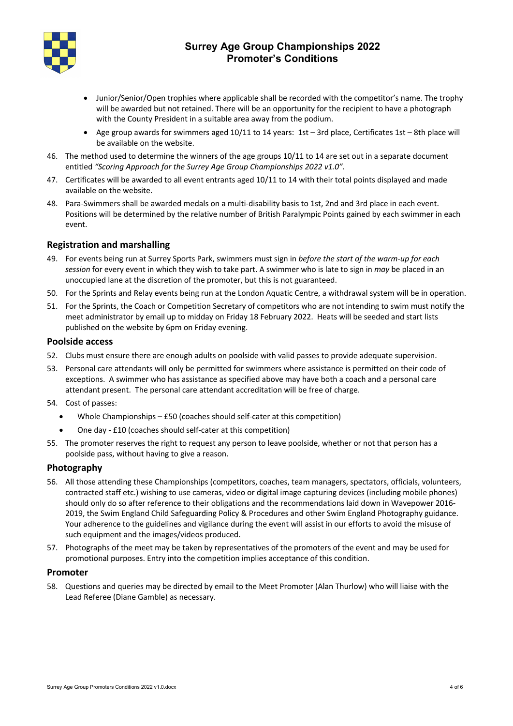

### **Surrey Age Group Championships 2022 Promoter's Conditions**

- Junior/Senior/Open trophies where applicable shall be recorded with the competitor's name. The trophy will be awarded but not retained. There will be an opportunity for the recipient to have a photograph with the County President in a suitable area away from the podium.
- Age group awards for swimmers aged  $10/11$  to 14 years: 1st 3rd place, Certificates 1st 8th place will be available on the website.
- 46. The method used to determine the winners of the age groups 10/11 to 14 are set out in a separate document entitled *"Scoring Approach for the Surrey Age Group Championships 2022 v1.0".*
- 47. Certificates will be awarded to all event entrants aged 10/11 to 14 with their total points displayed and made available on the website.
- 48. Para-Swimmers shall be awarded medals on a multi-disability basis to 1st, 2nd and 3rd place in each event. Positions will be determined by the relative number of British Paralympic Points gained by each swimmer in each event.

### **Registration and marshalling**

- 49. For events being run at Surrey Sports Park, swimmers must sign in *before the start of the warm-up for each session* for every event in which they wish to take part. A swimmer who is late to sign in *may* be placed in an unoccupied lane at the discretion of the promoter, but this is not guaranteed.
- 50. For the Sprints and Relay events being run at the London Aquatic Centre, a withdrawal system will be in operation.
- 51. For the Sprints, the Coach or Competition Secretary of competitors who are not intending to swim must notify the meet administrator by email up to midday on Friday 18 February 2022. Heats will be seeded and start lists published on the website by 6pm on Friday evening.

### **Poolside access**

- 52. Clubs must ensure there are enough adults on poolside with valid passes to provide adequate supervision.
- 53. Personal care attendants will only be permitted for swimmers where assistance is permitted on their code of exceptions. A swimmer who has assistance as specified above may have both a coach and a personal care attendant present. The personal care attendant accreditation will be free of charge.
- 54. Cost of passes:
	- Whole Championships £50 (coaches should self-cater at this competition)
	- One day £10 (coaches should self-cater at this competition)
- 55. The promoter reserves the right to request any person to leave poolside, whether or not that person has a poolside pass, without having to give a reason.

### **Photography**

- 56. All those attending these Championships (competitors, coaches, team managers, spectators, officials, volunteers, contracted staff etc.) wishing to use cameras, video or digital image capturing devices (including mobile phones) should only do so after reference to their obligations and the recommendations laid down in Wavepower 2016- 2019, the Swim England Child Safeguarding Policy & Procedures and other Swim England Photography guidance. Your adherence to the guidelines and vigilance during the event will assist in our efforts to avoid the misuse of such equipment and the images/videos produced.
- 57. Photographs of the meet may be taken by representatives of the promoters of the event and may be used for promotional purposes. Entry into the competition implies acceptance of this condition.

#### **Promoter**

58. Questions and queries may be directed by email to the Meet Promoter (Alan Thurlow) who will liaise with the Lead Referee (Diane Gamble) as necessary.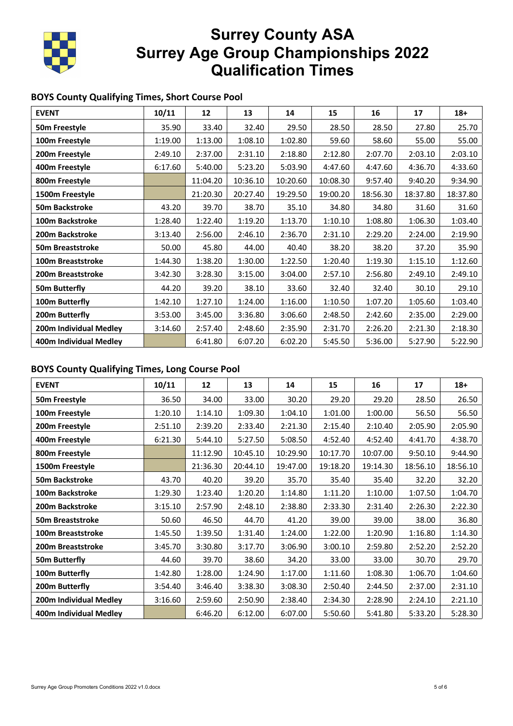

# **Surrey County ASA Surrey Age Group Championships 2022 Qualification Times**

### **BOYS County Qualifying Times, Short Course Pool**

| <b>EVENT</b>             | 10/11   | 12       | 13       | 14       | 15       | 16       | 17       | $18+$    |
|--------------------------|---------|----------|----------|----------|----------|----------|----------|----------|
| 50m Freestyle            | 35.90   | 33.40    | 32.40    | 29.50    | 28.50    | 28.50    | 27.80    | 25.70    |
| 100m Freestyle           | 1:19.00 | 1:13.00  | 1:08.10  | 1:02.80  | 59.60    | 58.60    | 55.00    | 55.00    |
| 200m Freestyle           | 2:49.10 | 2:37.00  | 2:31.10  | 2:18.80  | 2:12.80  | 2:07.70  | 2:03.10  | 2:03.10  |
| 400m Freestyle           | 6:17.60 | 5:40.00  | 5:23.20  | 5:03.90  | 4:47.60  | 4:47.60  | 4:36.70  | 4:33.60  |
| 800m Freestyle           |         | 11:04.20 | 10:36.10 | 10:20.60 | 10:08.30 | 9:57.40  | 9:40.20  | 9:34.90  |
| 1500m Freestyle          |         | 21:20.30 | 20:27.40 | 19:29.50 | 19:00.20 | 18:56.30 | 18:37.80 | 18:37.80 |
| 50m Backstroke           | 43.20   | 39.70    | 38.70    | 35.10    | 34.80    | 34.80    | 31.60    | 31.60    |
| 100m Backstroke          | 1:28.40 | 1:22.40  | 1:19.20  | 1:13.70  | 1:10.10  | 1:08.80  | 1:06.30  | 1:03.40  |
| 200m Backstroke          | 3:13.40 | 2:56.00  | 2:46.10  | 2:36.70  | 2:31.10  | 2:29.20  | 2:24.00  | 2:19.90  |
| 50m Breaststroke         | 50.00   | 45.80    | 44.00    | 40.40    | 38.20    | 38.20    | 37.20    | 35.90    |
| <b>100m Breaststroke</b> | 1:44.30 | 1:38.20  | 1:30.00  | 1:22.50  | 1:20.40  | 1:19.30  | 1:15.10  | 1:12.60  |
| 200m Breaststroke        | 3:42.30 | 3:28.30  | 3:15.00  | 3:04.00  | 2:57.10  | 2:56.80  | 2:49.10  | 2:49.10  |
| 50m Butterfly            | 44.20   | 39.20    | 38.10    | 33.60    | 32.40    | 32.40    | 30.10    | 29.10    |
| 100m Butterfly           | 1:42.10 | 1:27.10  | 1:24.00  | 1:16.00  | 1:10.50  | 1:07.20  | 1:05.60  | 1:03.40  |
| 200m Butterfly           | 3:53.00 | 3:45.00  | 3:36.80  | 3:06.60  | 2:48.50  | 2:42.60  | 2:35.00  | 2:29.00  |
| 200m Individual Medley   | 3:14.60 | 2:57.40  | 2:48.60  | 2:35.90  | 2:31.70  | 2:26.20  | 2:21.30  | 2:18.30  |
| 400m Individual Medley   |         | 6:41.80  | 6:07.20  | 6:02.20  | 5:45.50  | 5:36.00  | 5:27.90  | 5:22.90  |

### **BOYS County Qualifying Times, Long Course Pool**

| <b>EVENT</b>           | 10/11   | 12       | 13       | 14       | 15       | 16       | 17       | $18 +$   |
|------------------------|---------|----------|----------|----------|----------|----------|----------|----------|
| 50m Freestyle          | 36.50   | 34.00    | 33.00    | 30.20    | 29.20    | 29.20    | 28.50    | 26.50    |
| 100m Freestyle         | 1:20.10 | 1:14.10  | 1:09.30  | 1:04.10  | 1:01.00  | 1:00.00  | 56.50    | 56.50    |
| 200m Freestyle         | 2:51.10 | 2:39.20  | 2:33.40  | 2:21.30  | 2:15.40  | 2:10.40  | 2:05.90  | 2:05.90  |
| 400m Freestyle         | 6:21.30 | 5:44.10  | 5:27.50  | 5:08.50  | 4:52.40  | 4:52.40  | 4:41.70  | 4:38.70  |
| 800m Freestyle         |         | 11:12.90 | 10:45.10 | 10:29.90 | 10:17.70 | 10:07.00 | 9:50.10  | 9:44.90  |
| 1500m Freestyle        |         | 21:36.30 | 20:44.10 | 19:47.00 | 19:18.20 | 19:14.30 | 18:56.10 | 18:56.10 |
| 50m Backstroke         | 43.70   | 40.20    | 39.20    | 35.70    | 35.40    | 35.40    | 32.20    | 32.20    |
| 100m Backstroke        | 1:29.30 | 1:23.40  | 1:20.20  | 1:14.80  | 1:11.20  | 1:10.00  | 1:07.50  | 1:04.70  |
| 200m Backstroke        | 3:15.10 | 2:57.90  | 2:48.10  | 2:38.80  | 2:33.30  | 2:31.40  | 2:26.30  | 2:22.30  |
| 50m Breaststroke       | 50.60   | 46.50    | 44.70    | 41.20    | 39.00    | 39.00    | 38.00    | 36.80    |
| 100m Breaststroke      | 1:45.50 | 1:39.50  | 1:31.40  | 1:24.00  | 1:22.00  | 1:20.90  | 1:16.80  | 1:14.30  |
| 200m Breaststroke      | 3:45.70 | 3:30.80  | 3:17.70  | 3:06.90  | 3:00.10  | 2:59.80  | 2:52.20  | 2:52.20  |
| 50m Butterfly          | 44.60   | 39.70    | 38.60    | 34.20    | 33.00    | 33.00    | 30.70    | 29.70    |
| 100m Butterfly         | 1:42.80 | 1:28.00  | 1:24.90  | 1:17.00  | 1:11.60  | 1:08.30  | 1:06.70  | 1:04.60  |
| 200m Butterfly         | 3:54.40 | 3:46.40  | 3:38.30  | 3:08.30  | 2:50.40  | 2:44.50  | 2:37.00  | 2:31.10  |
| 200m Individual Medley | 3:16.60 | 2:59.60  | 2:50.90  | 2:38.40  | 2:34.30  | 2:28.90  | 2:24.10  | 2:21.10  |
| 400m Individual Medley |         | 6:46.20  | 6:12.00  | 6:07.00  | 5:50.60  | 5:41.80  | 5:33.20  | 5:28.30  |